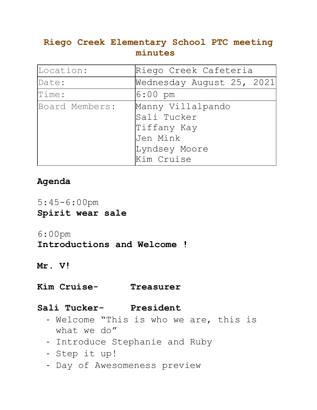# **Riego Creek Elementary School PTC meeting minutes**

| Location:      | Riego Creek Cafeteria                                                                      |
|----------------|--------------------------------------------------------------------------------------------|
| Date:          | Wednesday August 25, 2021                                                                  |
| Time:          | $6:00$ pm                                                                                  |
| Board Members: | Manny Villalpando<br>Sali Tucker<br>Tiffany Kay<br>Jen Mink<br>Lyndsey Moore<br>Kim Cruise |

# **Agenda**

5:45-6:00pm **Spirit wear sale** 

### 6:00pm

## **Introductions and Welcome !**

#### **Mr. V!**

### **Kim Cruise- Treasurer**

#### **Sali Tucker- President**

- Welcome "This is who we are, this is what we do"
- Introduce Stephanie and Ruby
- Step it up!
- Day of Awesomeness preview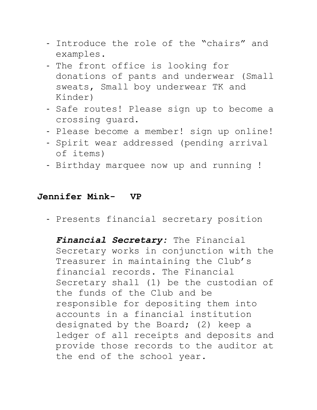- Introduce the role of the "chairs" and examples.
- The front office is looking for donations of pants and underwear (Small sweats, Small boy underwear TK and Kinder)
- Safe routes! Please sign up to become a crossing guard.
- Please become a member! sign up online!
- Spirit wear addressed (pending arrival of items)
- Birthday marquee now up and running !

### **Jennifer Mink- VP**

- Presents financial secretary position

*Financial Secretary:* The Financial Secretary works in conjunction with the Treasurer in maintaining the Club's financial records. The Financial Secretary shall (1) be the custodian of the funds of the Club and be responsible for depositing them into accounts in a financial institution designated by the Board; (2) keep a ledger of all receipts and deposits and provide those records to the auditor at the end of the school year.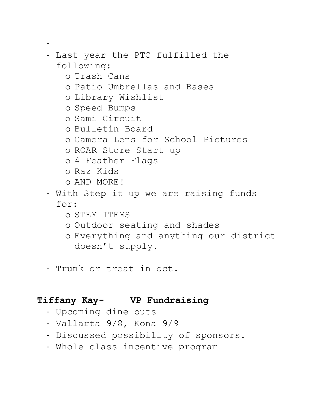```
-
- Last year the PTC fulfilled the 
 following: 
   o Trash Cans
   o Patio Umbrellas and Bases
   o Library Wishlist
   o Speed Bumps 
   o Sami Circuit
   o Bulletin Board
   o Camera Lens for School Pictures
   o ROAR Store Start up
   o 4 Feather Flags
   o Raz Kids
   o AND MORE!
- With Step it up we are raising funds 
 for: 
   o STEM ITEMS
   o Outdoor seating and shades 
   o Everything and anything our district 
     doesn't supply.
```
- Trunk or treat in oct.

# **Tiffany Kay- VP Fundraising**

- Upcoming dine outs
- Vallarta 9/8, Kona 9/9
- Discussed possibility of sponsors.
- Whole class incentive program